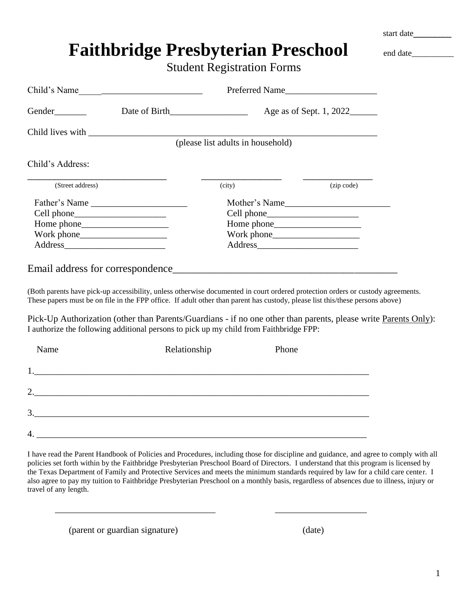|                       |                                                                                                                                                                                                                                                                                                                                                                                                                                                                                                                                                                |                                   |       |                         | start date |
|-----------------------|----------------------------------------------------------------------------------------------------------------------------------------------------------------------------------------------------------------------------------------------------------------------------------------------------------------------------------------------------------------------------------------------------------------------------------------------------------------------------------------------------------------------------------------------------------------|-----------------------------------|-------|-------------------------|------------|
|                       | <b>Faithbridge Presbyterian Preschool</b>                                                                                                                                                                                                                                                                                                                                                                                                                                                                                                                      |                                   |       |                         | end date   |
|                       |                                                                                                                                                                                                                                                                                                                                                                                                                                                                                                                                                                | <b>Student Registration Forms</b> |       |                         |            |
|                       |                                                                                                                                                                                                                                                                                                                                                                                                                                                                                                                                                                |                                   |       |                         |            |
|                       | Child's Name                                                                                                                                                                                                                                                                                                                                                                                                                                                                                                                                                   |                                   |       | Preferred Name          |            |
|                       |                                                                                                                                                                                                                                                                                                                                                                                                                                                                                                                                                                |                                   |       | Age as of Sept. 1, 2022 |            |
|                       |                                                                                                                                                                                                                                                                                                                                                                                                                                                                                                                                                                |                                   |       |                         |            |
|                       |                                                                                                                                                                                                                                                                                                                                                                                                                                                                                                                                                                | (please list adults in household) |       |                         |            |
| Child's Address:      |                                                                                                                                                                                                                                                                                                                                                                                                                                                                                                                                                                |                                   |       |                         |            |
| (Street address)      |                                                                                                                                                                                                                                                                                                                                                                                                                                                                                                                                                                | (city)                            |       | (zip code)              |            |
|                       | Father's Name                                                                                                                                                                                                                                                                                                                                                                                                                                                                                                                                                  |                                   |       | Mother's Name           |            |
|                       |                                                                                                                                                                                                                                                                                                                                                                                                                                                                                                                                                                |                                   |       |                         |            |
|                       |                                                                                                                                                                                                                                                                                                                                                                                                                                                                                                                                                                |                                   |       |                         |            |
|                       |                                                                                                                                                                                                                                                                                                                                                                                                                                                                                                                                                                |                                   |       |                         |            |
|                       |                                                                                                                                                                                                                                                                                                                                                                                                                                                                                                                                                                |                                   |       |                         |            |
|                       | (Both parents have pick-up accessibility, unless otherwise documented in court ordered protection orders or custody agreements.<br>These papers must be on file in the FPP office. If adult other than parent has custody, please list this/these persons above)<br>Pick-Up Authorization (other than Parents/Guardians - if no one other than parents, please write Parents Only):<br>I authorize the following additional persons to pick up my child from Faithbridge FPP:                                                                                  |                                   |       |                         |            |
| Name                  | Relationship                                                                                                                                                                                                                                                                                                                                                                                                                                                                                                                                                   |                                   | Phone |                         |            |
| 1.                    |                                                                                                                                                                                                                                                                                                                                                                                                                                                                                                                                                                |                                   |       |                         |            |
|                       |                                                                                                                                                                                                                                                                                                                                                                                                                                                                                                                                                                |                                   |       |                         |            |
|                       |                                                                                                                                                                                                                                                                                                                                                                                                                                                                                                                                                                |                                   |       |                         |            |
|                       |                                                                                                                                                                                                                                                                                                                                                                                                                                                                                                                                                                |                                   |       |                         |            |
| travel of any length. | I have read the Parent Handbook of Policies and Procedures, including those for discipline and guidance, and agree to comply with all<br>policies set forth within by the Faithbridge Presbyterian Preschool Board of Directors. I understand that this program is licensed by<br>the Texas Department of Family and Protective Services and meets the minimum standards required by law for a child care center. I<br>also agree to pay my tuition to Faithbridge Presbyterian Preschool on a monthly basis, regardless of absences due to illness, injury or |                                   |       |                         |            |

(parent or guardian signature) (date)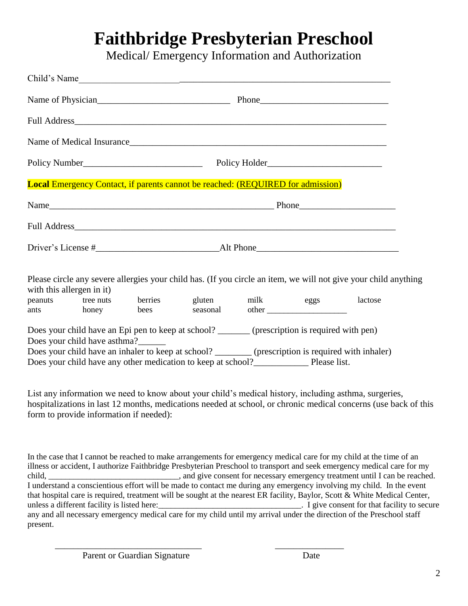Medical/ Emergency Information and Authorization

|                           |                              | Child's Name                                                                                                                                                                                                                                                                               |  |                                                                                                                 |
|---------------------------|------------------------------|--------------------------------------------------------------------------------------------------------------------------------------------------------------------------------------------------------------------------------------------------------------------------------------------|--|-----------------------------------------------------------------------------------------------------------------|
|                           |                              | Name of Physician <u>example and the Phone</u> Phone Phone Phone <b>Phone</b> Phone <b>Phone</b> Phone <b>Phone</b> Phone <b>Phone</b> Phone <b>Phone</b> Phone <b>Phone</b> Phone <b>Phone</b> Phone <b>Phone</b> Phone <b>Phone</b> Phone <b>Phone</b> Phone <b>Phone</b> Phone Phone Ph |  |                                                                                                                 |
|                           |                              |                                                                                                                                                                                                                                                                                            |  |                                                                                                                 |
|                           |                              | Name of Medical Insurance                                                                                                                                                                                                                                                                  |  |                                                                                                                 |
|                           |                              |                                                                                                                                                                                                                                                                                            |  |                                                                                                                 |
|                           |                              | <b>Local Emergency Contact, if parents cannot be reached: (REQUIRED for admission)</b>                                                                                                                                                                                                     |  |                                                                                                                 |
|                           |                              |                                                                                                                                                                                                                                                                                            |  |                                                                                                                 |
|                           |                              |                                                                                                                                                                                                                                                                                            |  |                                                                                                                 |
|                           |                              |                                                                                                                                                                                                                                                                                            |  |                                                                                                                 |
| with this allergen in it) |                              |                                                                                                                                                                                                                                                                                            |  | Please circle any severe allergies your child has. (If you circle an item, we will not give your child anything |
|                           |                              | peanuts tree nuts berries gluten milk eggs<br>ants honey bees seasonal other                                                                                                                                                                                                               |  | lactose                                                                                                         |
|                           | Does your child have asthma? | Does your child have an Epi pen to keep at school? _______ (prescription is required with pen)<br><u> 1990 - John Stein, mars et al. 1990 - San A</u>                                                                                                                                      |  |                                                                                                                 |

Does your child have an inhaler to keep at school? \_\_\_\_\_\_\_\_ (prescription is required with inhaler) Does your child have any other medication to keep at school?\_\_\_\_\_\_\_\_\_\_\_\_ Please list.

List any information we need to know about your child's medical history, including asthma, surgeries, hospitalizations in last 12 months, medications needed at school, or chronic medical concerns (use back of this form to provide information if needed):

In the case that I cannot be reached to make arrangements for emergency medical care for my child at the time of an illness or accident, I authorize Faithbridge Presbyterian Preschool to transport and seek emergency medical care for my child, \_\_\_\_\_\_\_\_\_\_\_\_\_\_\_\_\_\_\_\_\_\_\_\_\_\_\_\_, and give consent for necessary emergency treatment until I can be reached. I understand a conscientious effort will be made to contact me during any emergency involving my child. In the event that hospital care is required, treatment will be sought at the nearest ER facility, Baylor, Scott & White Medical Center, unless a different facility is listed here:\_\_\_\_\_\_\_\_\_\_\_\_\_\_\_\_\_\_\_\_\_\_\_\_\_\_\_\_\_\_\_\_\_\_. I give consent for that facility to secure any and all necessary emergency medical care for my child until my arrival under the direction of the Preschool staff present.

\_\_\_\_\_\_\_\_\_\_\_\_\_\_\_\_\_\_\_\_\_\_\_\_\_\_\_\_\_\_\_\_ \_\_\_\_\_\_\_\_\_\_\_\_\_\_\_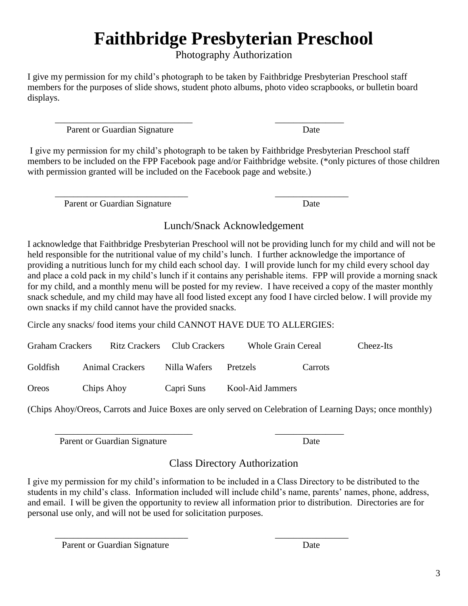Photography Authorization

I give my permission for my child's photograph to be taken by Faithbridge Presbyterian Preschool staff members for the purposes of slide shows, student photo albums, photo video scrapbooks, or bulletin board displays.

\_\_\_\_\_\_\_\_\_\_\_\_\_\_\_\_\_\_\_\_\_\_\_\_\_\_\_\_\_\_ \_\_\_\_\_\_\_\_\_\_\_\_\_\_\_ Parent or Guardian Signature Date

I give my permission for my child's photograph to be taken by Faithbridge Presbyterian Preschool staff members to be included on the FPP Facebook page and/or Faithbridge website. (\*only pictures of those children with permission granted will be included on the Facebook page and website.)

\_\_\_\_\_\_\_\_\_\_\_\_\_\_\_\_\_\_\_\_\_\_\_\_\_\_\_\_\_ \_\_\_\_\_\_\_\_\_\_\_\_\_\_\_\_

Parent or Guardian Signature Date

Lunch/Snack Acknowledgement

I acknowledge that Faithbridge Presbyterian Preschool will not be providing lunch for my child and will not be held responsible for the nutritional value of my child's lunch. I further acknowledge the importance of providing a nutritious lunch for my child each school day. I will provide lunch for my child every school day and place a cold pack in my child's lunch if it contains any perishable items. FPP will provide a morning snack for my child, and a monthly menu will be posted for my review. I have received a copy of the master monthly snack schedule, and my child may have all food listed except any food I have circled below. I will provide my own snacks if my child cannot have the provided snacks.

Circle any snacks/ food items your child CANNOT HAVE DUE TO ALLERGIES:

| <b>Graham Crackers</b> |                 | Ritz Crackers Club Crackers | <b>Whole Grain Cereal</b> |         | Cheez-Its |
|------------------------|-----------------|-----------------------------|---------------------------|---------|-----------|
| Goldfish               | Animal Crackers | Nilla Wafers                | Pretzels                  | Carrots |           |
| Oreos                  | Chips Ahoy      | Capri Suns                  | Kool-Aid Jammers          |         |           |

(Chips Ahoy/Oreos, Carrots and Juice Boxes are only served on Celebration of Learning Days; once monthly)

\_\_\_\_\_\_\_\_\_\_\_\_\_\_\_\_\_\_\_\_\_\_\_\_\_\_\_\_\_\_ \_\_\_\_\_\_\_\_\_\_\_\_\_\_\_ Parent or Guardian Signature Date

Class Directory Authorization

I give my permission for my child's information to be included in a Class Directory to be distributed to the students in my child's class. Information included will include child's name, parents' names, phone, address, and email. I will be given the opportunity to review all information prior to distribution. Directories are for personal use only, and will not be used for solicitation purposes.

\_\_\_\_\_\_\_\_\_\_\_\_\_\_\_\_\_\_\_\_\_\_\_\_\_\_\_\_\_ \_\_\_\_\_\_\_\_\_\_\_\_\_\_\_\_ Parent or Guardian Signature Date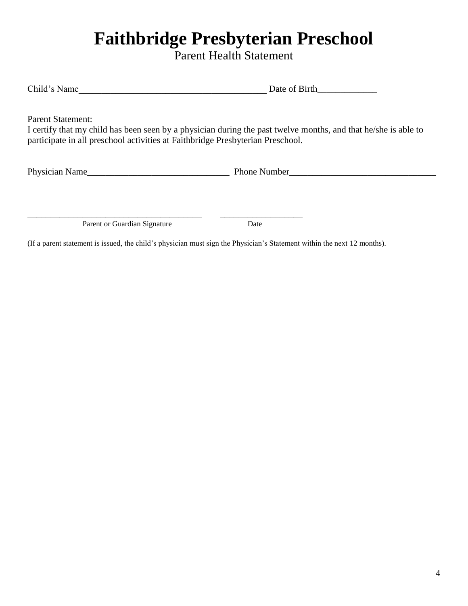Parent Health Statement

| Child's Name | Date of Birth |
|--------------|---------------|
|              |               |

Parent Statement:

I certify that my child has been seen by a physician during the past twelve months, and that he/she is able to participate in all preschool activities at Faithbridge Presbyterian Preschool.

Physician Name\_\_\_\_\_\_\_\_\_\_\_\_\_\_\_\_\_\_\_\_\_\_\_\_\_\_\_\_\_\_\_ Phone Number\_\_\_\_\_\_\_\_\_\_\_\_\_\_\_\_\_\_\_\_\_\_\_\_\_\_\_\_\_\_\_\_

Parent or Guardian Signature Date

\_\_\_\_\_\_\_\_\_\_\_\_\_\_\_\_\_\_\_\_\_\_\_\_\_\_\_\_\_\_\_\_\_\_\_\_\_\_ \_\_\_\_\_\_\_\_\_\_\_\_\_\_\_\_\_\_

(If a parent statement is issued, the child's physician must sign the Physician's Statement within the next 12 months).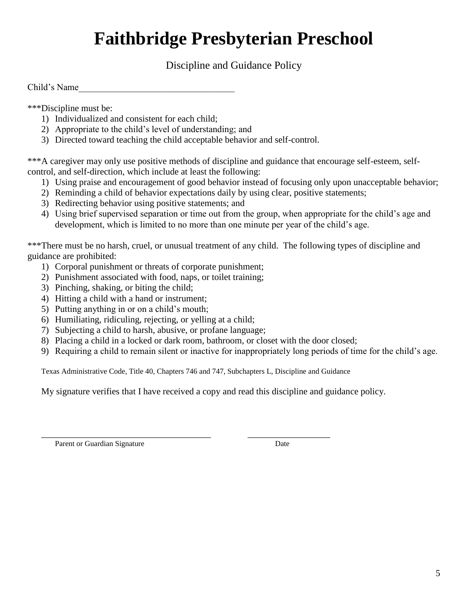Discipline and Guidance Policy

Child's Name\_\_\_\_\_\_\_\_\_\_\_\_\_\_\_\_\_\_\_\_\_\_\_\_\_\_\_\_\_\_\_\_\_\_

\*\*\*Discipline must be:

- 1) Individualized and consistent for each child;
- 2) Appropriate to the child's level of understanding; and
- 3) Directed toward teaching the child acceptable behavior and self-control.

\*\*\*A caregiver may only use positive methods of discipline and guidance that encourage self-esteem, selfcontrol, and self-direction, which include at least the following:

- 1) Using praise and encouragement of good behavior instead of focusing only upon unacceptable behavior;
- 2) Reminding a child of behavior expectations daily by using clear, positive statements;
- 3) Redirecting behavior using positive statements; and
- 4) Using brief supervised separation or time out from the group, when appropriate for the child's age and development, which is limited to no more than one minute per year of the child's age.

\*\*\*There must be no harsh, cruel, or unusual treatment of any child. The following types of discipline and guidance are prohibited:

- 1) Corporal punishment or threats of corporate punishment;
- 2) Punishment associated with food, naps, or toilet training;
- 3) Pinching, shaking, or biting the child;
- 4) Hitting a child with a hand or instrument;
- 5) Putting anything in or on a child's mouth;
- 6) Humiliating, ridiculing, rejecting, or yelling at a child;
- 7) Subjecting a child to harsh, abusive, or profane language;
- 8) Placing a child in a locked or dark room, bathroom, or closet with the door closed;
- 9) Requiring a child to remain silent or inactive for inappropriately long periods of time for the child's age.

Texas Administrative Code, Title 40, Chapters 746 and 747, Subchapters L, Discipline and Guidance

My signature verifies that I have received a copy and read this discipline and guidance policy.

\_\_\_\_\_\_\_\_\_\_\_\_\_\_\_\_\_\_\_\_\_\_\_\_\_\_\_\_\_\_\_\_\_\_\_\_\_ \_\_\_\_\_\_\_\_\_\_\_\_\_\_\_\_\_\_ Parent or Guardian Signature Date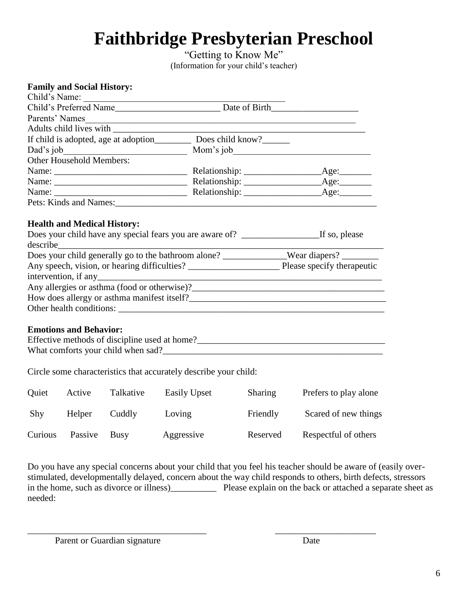"Getting to Know Me" (Information for your child's teacher)

|  | <b>Family and Social History:</b> |
|--|-----------------------------------|
|  |                                   |

| Child's Name:            |                           |      |
|--------------------------|---------------------------|------|
|                          |                           |      |
| Parents' Names           |                           |      |
|                          |                           |      |
|                          |                           |      |
| Dad's job                | Mom's job                 |      |
| Other Household Members: |                           |      |
|                          |                           | Age: |
|                          |                           |      |
| Name:                    | Relationship: <u>Age:</u> |      |
| Pets: Kinds and Names:   |                           |      |

#### **Health and Medical History:**

| $\text{describe}\_$                                 |                            |
|-----------------------------------------------------|----------------------------|
| Does your child generally go to the bathroom alone? |                            |
| Any speech, vision, or hearing difficulties?        | Please specify therapeutic |
|                                                     |                            |
|                                                     |                            |
| How does allergy or asthma manifest itself?         |                            |
| Other health conditions:                            |                            |
|                                                     |                            |

### **Emotions and Behavior:**

| Effective methods of discipline used at home? |  |
|-----------------------------------------------|--|
| What comforts your child when sad?            |  |

Circle some characteristics that accurately describe your child:

| Quiet   | Active  | Talkative | Easily Upset | <b>Sharing</b> | Prefers to play alone |
|---------|---------|-----------|--------------|----------------|-----------------------|
| Shy     | Helper  | Cuddly    | Loving       | Friendly       | Scared of new things  |
| Curious | Passive | Busy      | Aggressive   | Reserved       | Respectful of others  |

 $\overline{\phantom{a}}$  , and the contribution of the contribution of the contribution of the contribution of the contribution of the contribution of the contribution of the contribution of the contribution of the contribution of the

Do you have any special concerns about your child that you feel his teacher should be aware of (easily overstimulated, developmentally delayed, concern about the way child responds to others, birth defects, stressors in the home, such as divorce or illness)\_\_\_\_\_\_\_\_\_\_ Please explain on the back or attached a separate sheet as needed:

Parent or Guardian signature Date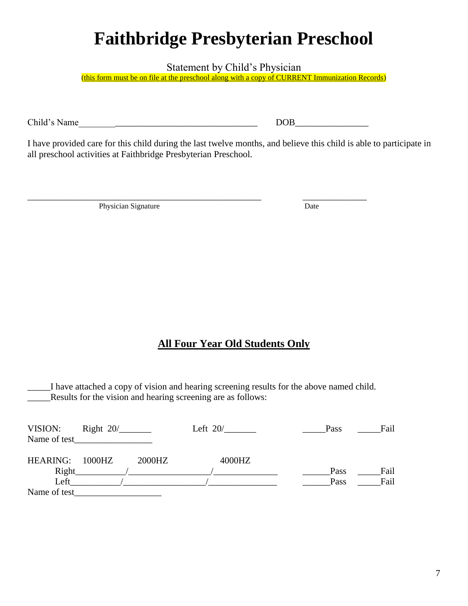Statement by Child's Physician

(this form must be on file at the preschool along with a copy of CURRENT Immunization Records)

Child's Name\_\_\_\_\_\_\_\_\_\_\_\_\_\_\_\_\_\_\_\_\_\_\_\_\_\_\_\_\_\_\_\_\_\_\_\_\_\_\_ DOB\_\_\_\_\_\_\_\_\_\_\_\_\_\_\_\_

I have provided care for this child during the last twelve months, and believe this child is able to participate in all preschool activities at Faithbridge Presbyterian Preschool.

\_\_\_\_\_\_\_\_\_\_\_\_\_\_\_\_\_\_\_\_\_\_\_\_\_\_\_\_\_\_\_\_\_\_\_\_\_\_\_\_\_\_\_\_\_\_\_\_\_\_\_ \_\_\_\_\_\_\_\_\_\_\_\_\_\_

Physician Signature Date

### **All Four Year Old Students Only**

\_\_\_\_\_I have attached a copy of vision and hearing screening results for the above named child. Results for the vision and hearing screening are as follows:

| VISION:         | Right $20/$ |        | Left $20/$ | Pass | Fail |
|-----------------|-------------|--------|------------|------|------|
| Name of test    |             |        |            |      |      |
| <b>HEARING:</b> | $1000$ HZ   | 2000HZ | 4000HZ     |      |      |
| Right           |             |        |            | Pass | Fail |
| Left            |             |        |            | Pass | Fail |
| Name of test    |             |        |            |      |      |